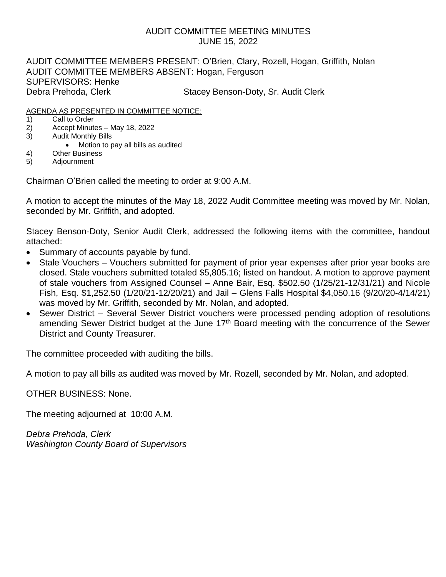# AUDIT COMMITTEE MEETING MINUTES JUNE 15, 2022

AUDIT COMMITTEE MEMBERS PRESENT: O'Brien, Clary, Rozell, Hogan, Griffith, Nolan AUDIT COMMITTEE MEMBERS ABSENT: Hogan, Ferguson SUPERVISORS: Henke Debra Prehoda, Clerk Stacey Benson-Doty, Sr. Audit Clerk

# AGENDA AS PRESENTED IN COMMITTEE NOTICE:

- 1) Call to Order
- 2) Accept Minutes May 18, 2022
- 3) Audit Monthly Bills
	- Motion to pay all bills as audited
- 4) Other Business
- 5) Adjournment

Chairman O'Brien called the meeting to order at 9:00 A.M.

A motion to accept the minutes of the May 18, 2022 Audit Committee meeting was moved by Mr. Nolan, seconded by Mr. Griffith, and adopted.

Stacey Benson-Doty, Senior Audit Clerk, addressed the following items with the committee, handout attached:

- Summary of accounts payable by fund.
- Stale Vouchers Vouchers submitted for payment of prior year expenses after prior year books are closed. Stale vouchers submitted totaled \$5,805.16; listed on handout. A motion to approve payment of stale vouchers from Assigned Counsel – Anne Bair, Esq. \$502.50 (1/25/21-12/31/21) and Nicole Fish, Esq. \$1,252.50 (1/20/21-12/20/21) and Jail – Glens Falls Hospital \$4,050.16 (9/20/20-4/14/21) was moved by Mr. Griffith, seconded by Mr. Nolan, and adopted.
- Sewer District Several Sewer District vouchers were processed pending adoption of resolutions amending Sewer District budget at the June 17<sup>th</sup> Board meeting with the concurrence of the Sewer District and County Treasurer.

The committee proceeded with auditing the bills.

A motion to pay all bills as audited was moved by Mr. Rozell, seconded by Mr. Nolan, and adopted.

OTHER BUSINESS: None.

The meeting adjourned at 10:00 A.M.

*Debra Prehoda, Clerk Washington County Board of Supervisors*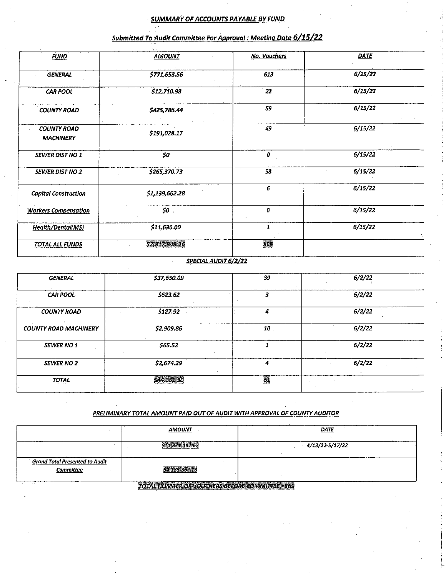#### **SUMMARY OF ACCOUNTS PAYABLE BY FUND**

| <b>FUND</b>                            | <b>AMOUNT</b>  | <b>No. Vouchers</b> | <b>DATE</b> |  |
|----------------------------------------|----------------|---------------------|-------------|--|
| <b>GENERAL</b>                         | \$771,653.56   | 613                 | 6/15/22     |  |
| <b>CAR POOL</b>                        | \$12,710.98    | 22                  | 6/15/22     |  |
| <b>COUNTY ROAD</b>                     | \$425,786.44   | 59                  | 6/15/22     |  |
| <b>COUNTY ROAD</b><br><b>MACHINERY</b> | \$191,028.17   | 49                  | 6/15/22     |  |
| <b>SEWER DIST NO 1</b>                 | $50^{\circ}$   | 0                   | 6/15/22     |  |
| <b>SEWER DIST NO 2</b>                 | \$265,370.73   | 58                  | 6/15/22     |  |
| <b>Capital Construction</b>            | \$1,139,662.28 | 6                   | 6/15/22     |  |
| <b>Workers Compensation</b>            | $50$ .         | 0                   | 6/15/22     |  |
| <b>Health/Dental(MS)</b>               | \$11,636.00    | 1                   | 6/15/22     |  |
| <b>TOTAL ALL FUNDS</b>                 | 52,817,848.16  | 808                 |             |  |
|                                        |                |                     |             |  |

# Submitted To Audit Committee For Approval : Meeting Date 6/15/22

### SPECIAL AUDIT 6/2/22

| <b>GENERAL</b>               | \$37,650.09 | 39              | 6/2/22 |
|------------------------------|-------------|-----------------|--------|
| <b>CAR POOL</b>              | \$623.62    |                 | 6/2/22 |
| <b>COUNTY ROAD</b>           | \$127.92    | 4               | 6/2/22 |
| <b>COUNTY ROAD MACHINERY</b> | \$2,909.86  | 10              | 6/2/22 |
| <b>SEWER NO 1</b>            | \$65.52     |                 | 6/2/22 |
| <b>SEWER NO 2</b>            | \$2,674.29  | 4               | 6/2/22 |
| <b>TOTAL</b>                 | \$44,051.30 | $\overline{61}$ |        |

### PRELIMINARY TOTAL AMOUNT PAID OUT OF AUDIT WITH APPROVAL OF COUNTY AUDITOR

|                                                    | <b>AMOUNT</b>                                    | DATE            |  |
|----------------------------------------------------|--------------------------------------------------|-----------------|--|
|                                                    | $5*1.321.462.67$                                 | 4/13/22-5/17/22 |  |
| <b>Grand Total Presented to Audit</b><br>Committee | 54,183,362.13                                    |                 |  |
| <b><i><u>ALCO</u></i></b><br>.                     | TOTAL NUMBER OF VOLICHERS BEFORE COMMITTEE = 869 |                 |  |